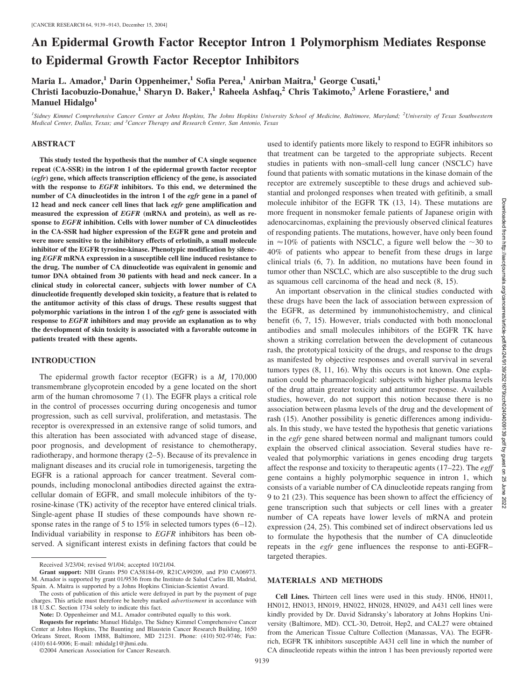# **An Epidermal Growth Factor Receptor Intron 1 Polymorphism Mediates Response to Epidermal Growth Factor Receptor Inhibitors**

**Maria L. Amador,1 Darin Oppenheimer,1 Sofia Perea,1 Anirban Maitra,1 George Cusati,1 Christi Iacobuzio-Donahue,1 Sharyn D. Baker,1 Raheela Ashfaq,2 Chris Takimoto,3 Arlene Forastiere,1 and** Manuel Hidalgo<sup>1</sup>

*1 Sidney Kimmel Comprehensive Cancer Center at Johns Hopkins, The Johns Hopkins University School of Medicine, Baltimore, Maryland; <sup>2</sup> University of Texas Southwestern Medical Center, Dallas, Texas; and <sup>3</sup> Cancer Therapy and Research Center, San Antonio, Texas*

## **ABSTRACT**

**This study tested the hypothesis that the number of CA single sequence repeat (CA-SSR) in the intron 1 of the epidermal growth factor receptor (***egfr***) gene, which affects transcription efficiency of the gene, is associated with the response to** *EGFR* **inhibitors. To this end, we determined the number of CA dinucleotides in the intron 1 of the** *egfr* **gene in a panel of 12 head and neck cancer cell lines that lack** *egfr* **gene amplification and measured the expression of** *EGFR* **(mRNA and protein), as well as response to** *EGFR* **inhibition. Cells with lower number of CA dinucleotides in the CA-SSR had higher expression of the EGFR gene and protein and were more sensitive to the inhibitory effects of erlotinib, a small molecule inhibitor of the EGFR tyrosine-kinase. Phenotypic modification by silencing** *EGFR* **mRNA expression in a susceptible cell line induced resistance to the drug. The number of CA dinucleotide was equivalent in genomic and tumor DNA obtained from 30 patients with head and neck cancer. In a clinical study in colorectal cancer, subjects with lower number of CA dinucleotide frequently developed skin toxicity, a feature that is related to the antitumor activity of this class of drugs. These results suggest that polymorphic variations in the intron 1 of the** *egfr* **gene is associated with response to** *EGFR* **inhibitors and may provide an explanation as to why the development of skin toxicity is associated with a favorable outcome in patients treated with these agents.**

## **INTRODUCTION**

The epidermal growth factor receptor (EGFR) is a  $M_r$  170,000 transmembrane glycoprotein encoded by a gene located on the short arm of the human chromosome 7 (1). The EGFR plays a critical role in the control of processes occurring during oncogenesis and tumor progression, such as cell survival, proliferation, and metastasis. The receptor is overexpressed in an extensive range of solid tumors, and this alteration has been associated with advanced stage of disease, poor prognosis, and development of resistance to chemotherapy, radiotherapy, and hormone therapy (2–5). Because of its prevalence in malignant diseases and its crucial role in tumorigenesis, targeting the EGFR is a rational approach for cancer treatment. Several compounds, including monoclonal antibodies directed against the extracellular domain of EGFR, and small molecule inhibitors of the tyrosine-kinase (TK) activity of the receptor have entered clinical trials. Single-agent phase II studies of these compounds have shown response rates in the range of 5 to 15% in selected tumors types  $(6-12)$ . Individual variability in response to *EGFR* inhibitors has been observed. A significant interest exists in defining factors that could be

©2004 American Association for Cancer Research.

used to identify patients more likely to respond to EGFR inhibitors so that treatment can be targeted to the appropriate subjects. Recent studies in patients with non–small-cell lung cancer (NSCLC) have found that patients with somatic mutations in the kinase domain of the receptor are extremely susceptible to these drugs and achieved substantial and prolonged responses when treated with gefitinib, a small molecule inhibitor of the EGFR TK (13, 14). These mutations are more frequent in nonsmoker female patients of Japanese origin with adenocarcinomas, explaining the previously observed clinical features of responding patients. The mutations, however, have only been found in  $\approx$ 10% of patients with NSCLC, a figure well below the  $\sim$ 30 to 40% of patients who appear to benefit from these drugs in large clinical trials (6, 7). In addition, no mutations have been found in tumor other than NSCLC, which are also susceptible to the drug such as squamous cell carcinoma of the head and neck (8, 15).

An important observation in the clinical studies conducted with these drugs have been the lack of association between expression of the EGFR, as determined by immunohistochemistry, and clinical benefit (6, 7, 15). However, trials conducted with both monoclonal antibodies and small molecules inhibitors of the EGFR TK have shown a striking correlation between the development of cutaneous rash, the prototypical toxicity of the drugs, and response to the drugs as manifested by objective responses and overall survival in several tumors types (8, 11, 16). Why this occurs is not known. One explanation could be pharmacological: subjects with higher plasma levels of the drug attain greater toxicity and antitumor response. Available studies, however, do not support this notion because there is no association between plasma levels of the drug and the development of rash (15). Another possibility is genetic differences among individuals. In this study, we have tested the hypothesis that genetic variations in the *egfr* gene shared between normal and malignant tumors could explain the observed clinical association. Several studies have revealed that polymorphic variations in genes encoding drug targets affect the response and toxicity to therapeutic agents (17–22). The *egff* gene contains a highly polymorphic sequence in intron 1, which consists of a variable number of CA dinucleotide repeats ranging from 9 to 21 (23). This sequence has been shown to affect the efficiency of gene transcription such that subjects or cell lines with a greater number of CA repeats have lower levels of mRNA and protein expression (24, 25). This combined set of indirect observations led us to formulate the hypothesis that the number of CA dinucleotide repeats in the *egfr* gene influences the response to anti-EGFR– targeted therapies.

## **MATERIALS AND METHODS**

**Cell Lines.** Thirteen cell lines were used in this study. HN06, HN011, HN012, HN013, HN019, HN022, HN028, HN029, and A431 cell lines were kindly provided by Dr. David Sidransky's laboratory at Johns Hopkins University (Baltimore, MD). CCL-30, Detroit, Hep2, and CAL27 were obtained from the American Tissue Culture Collection (Manassas, VA). The EGFRrich, EGFR TK inhibitors susceptible A431 cell line in which the number of CA dinucleotide repeats within the intron 1 has been previously reported were

Received 3/23/04; revised 9/1/04; accepted 10/21/04.

**Grant support:** NIH Grants P50 CA58184-09, R21CA99209, and P30 CA06973. M. Amador is supported by grant 01/9536 from the Instituto de Salud Carlos III, Madrid, Spain. A. Maitra is supported by a Johns Hopkins Clinician-Scientist Award.

The costs of publication of this article were defrayed in part by the payment of page charges. This article must therefore be hereby marked *advertisement* in accordance with 18 U.S.C. Section 1734 solely to indicate this fact.

**Note:** D. Oppenheimer and M.L. Amador contributed equally to this work.

**Requests for reprints:** Manuel Hidalgo, The Sidney Kimmel Comprehensive Cancer Center at Johns Hopkins, The Baunting and Blaustein Cancer Research Building, 1650 Orleans Street, Room 1M88, Baltimore, MD 21231. Phone: (410) 502-9746; Fax: (410) 614-9006; E-mail: mhidalg1@jhmi.edu.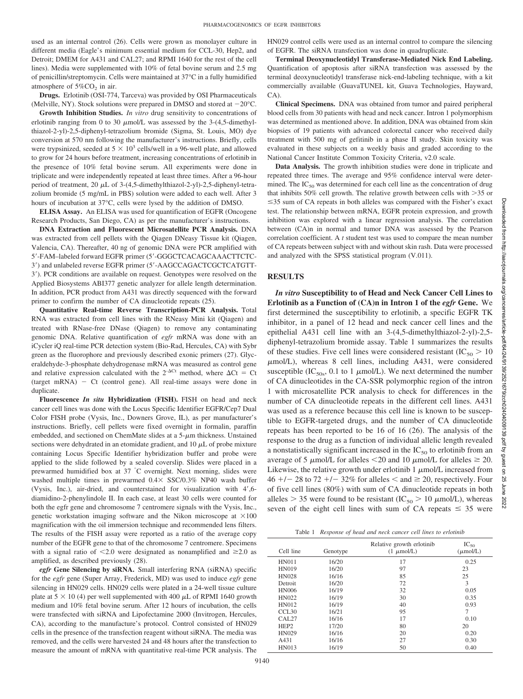used as an internal control (26). Cells were grown as monolayer culture in different media (Eagle's minimum essential medium for CCL-30, Hep2, and Detroit; DMEM for A431 and CAL27; and RPMI 1640 for the rest of the cell lines). Media were supplemented with 10% of fetal bovine serum and 2.5 mg of penicillin/streptomycin. Cells were maintained at 37°C in a fully humidified atmosphere of  $5\%CO<sub>2</sub>$  in air.

**Drugs.** Erlotinib (OSI-774, Tarceva) was provided by OSI Pharmaceuticals (Melville, NY). Stock solutions were prepared in DMSO and stored at  $-20^{\circ}$ C.

**Growth Inhibition Studies.** *In vitro* drug sensitivity to concentrations of erlotinib ranging from 0 to 30  $\mu$ mol/L was assessed by the 3-(4,5-dimethylthiazol-2-yl)-2,5-diphenyl-tetrazolium bromide (Sigma, St. Louis, MO) dye conversion at 570 nm following the manufacturer's instructions. Briefly, cells were trypsinized, seeded at  $5 \times 10^3$  cells/well in a 96-well plate, and allowed to grow for 24 hours before treatment, increasing concentrations of erlotinib in the presence of 10% fetal bovine serum. All experiments were done in triplicate and were independently repeated at least three times. After a 96-hour period of treatment, 20  $\mu$ L of 3-(4,5-dimethylthiazol-2-yl)-2,5-diphenyl-tetrazolium bromide (5 mg/mL in PBS) solution were added to each well. After 3 hours of incubation at 37°C, cells were lysed by the addition of DMSO.

**ELISA Assay.** An ELISA was used for quantification of EGFR (Oncogene Research Products, San Diego, CA) as per the manufacturer's instructions.

**DNA Extraction and Fluorescent Microsatellite PCR Analysis.** DNA was extracted from cell pellets with the Qiagen DNeasy Tissue kit (Qiagen, Valencia, CA). Thereafter, 40 ng of genomic DNA were PCR amplified with 5-FAM–labeled forward EGFR primer (5-GGGCTCACAGCAAACTTCTC-3) and unlabeled reverse EGFR primer (5-AAGCCAGACTCGCTCATGTT-3). PCR conditions are available on request. Genotypes were resolved on the Applied Biosystems ABI377 genetic analyzer for allele length determination. In addition, PCR product from A431 was directly sequenced with the forward primer to confirm the number of CA dinucleotide repeats (25).

**Quantitative Real-time Reverse Transcription-PCR Analysis.** Total RNA was extracted from cell lines with the RNeasy Mini kit (Qiagen) and treated with RNase-free DNase (Qiagen) to remove any contaminating genomic DNA. Relative quantification of *egfr* mRNA was done with an iCycler iQ real-time PCR detection system (Bio-Rad, Hercules, CA) with Sybr green as the fluorophore and previously described exonic primers (27). Glyceraldehyde-3-phosphate dehydrogenase mRNA was measured as control gene and relative expression calculated with the  $2^{-\Delta Ct}$  method, where  $\Delta Ct = Ct$  $(target mRNA) - Ct (control gene)$ . All real-time assays were done in duplicate.

**Fluorescence** *In situ* **Hybridization (FISH).** FISH on head and neck cancer cell lines was done with the Locus Specific Identifier EGFR/Cep7 Dual Color FISH probe (Vysis, Inc., Downers Grove, IL), as per manufacturer's instructions. Briefly, cell pellets were fixed overnight in formalin, paraffin embedded, and sectioned on ChemMate slides at a  $5-\mu m$  thickness. Unstained sections were dehydrated in an etomidate gradient, and  $10 \mu L$  of probe mixture containing Locus Specific Identifier hybridization buffer and probe were applied to the slide followed by a sealed coverslip. Slides were placed in a prewarmed humidified box at 37 ° C overnight. Next morning, slides were washed multiple times in prewarmed  $0.4 \times$  SSC/0.3% NP40 wash buffer (Vysis, Inc.), air-dried, and counterstained for visualization with 4',6diamidino-2-phenylindole II. In each case, at least 30 cells were counted for both the egfr gene and chromosome 7 centromere signals with the Vysis, Inc., genetic workstation imaging software and the Nikon microscope at  $\times 100$ magnification with the oil immersion technique and recommended lens filters. The results of the FISH assay were reported as a ratio of the average copy number of the EGFR gene to that of the chromosome 7 centromere. Specimens with a signal ratio of  $\leq 2.0$  were designated as nonamplified and  $\geq 2.0$  as amplified, as described previously (28).

*egfr* **Gene Silencing by siRNA.** Small interfering RNA (siRNA) specific for the *egfr* gene (Super Array, Frederick, MD) was used to induce *egfr* gene silencing in HN029 cells. HN029 cells were plated in a 24-well tissue culture plate at  $5 \times 10$  (4) per well supplemented with 400  $\mu$ L of RPMI 1640 growth medium and 10% fetal bovine serum. After 12 hours of incubation, the cells were transfected with siRNA and Lipofectamine 2000 (Invitrogen, Hercules, CA), according to the manufacture's protocol. Control consisted of HN029 cells in the presence of the transfection reagent without siRNA. The media was removed, and the cells were harvested 24 and 48 hours after the transfection to measure the amount of mRNA with quantitative real-time PCR analysis. The HN029 control cells were used as an internal control to compare the silencing of EGFR. The siRNA transfection was done in quadruplicate.

**Terminal Deoxynucleotidyl Transferase-Mediated Nick End Labeling.** Quantification of apoptosis after siRNA transfection was assessed by the terminal deoxynucleotidyl transferase nick-end-labeling technique, with a kit commercially available (GuavaTUNEL kit, Guava Technologies, Hayward, CA).

**Clinical Specimens.** DNA was obtained from tumor and paired peripheral blood cells from 30 patients with head and neck cancer. Intron 1 polymorphism was determined as mentioned above. In addition, DNA was obtained from skin biopsies of 19 patients with advanced colorectal cancer who received daily treatment with 500 mg of gefitinib in a phase II study. Skin toxicity was evaluated in these subjects on a weekly basis and graded according to the National Cancer Institute Common Toxicity Criteria, v2.0 scale.

**Data Analysis.** The growth inhibition studies were done in triplicate and repeated three times. The average and 95% confidence interval were determined. The  $IC_{50}$  was determined for each cell line as the concentration of drug that inhibits  $50\%$  cell growth. The relative growth between cells with  $>35$  or  $\leq$ 35 sum of CA repeats in both alleles was compared with the Fisher's exact test. The relationship between mRNA, EGFR protein expression, and growth inhibition was explored with a linear regression analysis. The correlation between (CA)n in normal and tumor DNA was assessed by the Pearson correlation coefficient. A *t* student test was used to compare the mean number of CA repeats between subject with and without skin rash. Data were processed and analyzed with the SPSS statistical program (V.011).

#### **RESULTS**

*In vitro* **Susceptibility to of Head and Neck Cancer Cell Lines to Erlotinib as a Function of (CA)n in Intron 1 of the** *egfr* **Gene.** We first determined the susceptibility to erlotinib, a specific EGFR TK inhibitor, in a panel of 12 head and neck cancer cell lines and the epithelial A431 cell line with an 3-(4,5-dimethylthiazol-2-yl)-2,5 diphenyl-tetrazolium bromide assay. Table 1 summarizes the results of these studies. Five cell lines were considered resistant  $(IC_{50} > 10$  $\mu$ mol/L), whereas 8 cell lines, including A431, were considered susceptible (IC<sub>50s</sub>, 0.1 to 1  $\mu$ mol/L). We next determined the number of CA dinucleotides in the CA-SSR polymorphic region of the intron 1 with microsatellite PCR analysis to check for differences in the number of CA dinucleotide repeats in the different cell lines. A431 was used as a reference because this cell line is known to be susceptible to EGFR-targeted drugs, and the number of CA dinucleotide repeats has been reported to be 16 of 16 (26). The analysis of the response to the drug as a function of individual allelic length revealed a nonstatistically significant increased in the  $IC_{50}$  to erlotinib from an average of 5  $\mu$ mol/L for alleles < 20 and 10  $\mu$ mol/L for alleles  $\geq 20$ . Likewise, the relative growth under erlotinib  $1 \mu$ mol/L increased from  $46 + 28$  to  $72 + 32\%$  for alleles  $\lt$  and  $\geq 20$ , respectively. Four of five cell lines (80%) with sum of CA dinucleotide repeats in both alleles  $> 35$  were found to be resistant (IC<sub>50</sub>  $> 10 \mu$ mol/L), whereas seven of the eight cell lines with sum of CA repeats  $\leq$  35 were

| Table 1 Response of head and neck cancer cell lines to erlotinib |  |
|------------------------------------------------------------------|--|
|------------------------------------------------------------------|--|

| Cell line         | Genotype | Relative growth erlotinib<br>$(1 \mu \text{mol/L})$ | $IC_{50}$<br>$(\mu \text{mol/L})$ |
|-------------------|----------|-----------------------------------------------------|-----------------------------------|
| <b>HN011</b>      | 16/20    | 17                                                  | 0.25                              |
| <b>HN019</b>      | 16/20    | 97                                                  | 23                                |
| <b>HN028</b>      | 16/16    | 85                                                  | 25                                |
| Detroit           | 16/20    | 72                                                  | 3                                 |
| <b>HN006</b>      | 16/19    | 32                                                  | 0.05                              |
| <b>HN022</b>      | 16/19    | 30                                                  | 0.35                              |
| <b>HN012</b>      | 16/19    | 40                                                  | 0.93                              |
| CCL <sub>30</sub> | 16/21    | 95                                                  | 7                                 |
| CAL27             | 16/16    | 17                                                  | 0.10                              |
| HEP <sub>2</sub>  | 17/20    | 80                                                  | 20                                |
| <b>HN029</b>      | 16/16    | 20                                                  | 0.20                              |
| A431              | 16/16    | 27                                                  | 0.30                              |
| <b>HN013</b>      | 16/19    | 50                                                  | 0.40                              |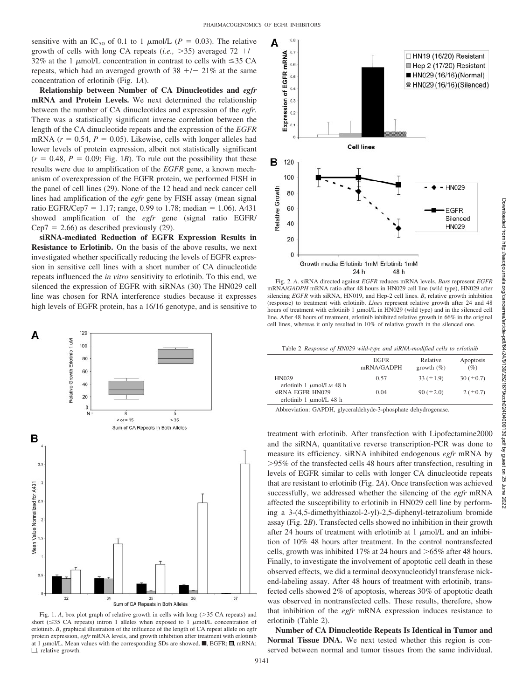sensitive with an IC<sub>50</sub> of 0.1 to 1  $\mu$ mol/L (*P* = 0.03). The relative growth of cells with long CA repeats  $(i.e., >35)$  averaged  $72 +/-$ 32% at the 1  $\mu$ mol/L concentration in contrast to cells with  $\leq$ 35 CA repeats, which had an averaged growth of  $38 + / -21\%$  at the same concentration of erlotinib (Fig. 1*A*).

**Relationship between Number of CA Dinucleotides and** *egfr* **mRNA and Protein Levels.** We next determined the relationship between the number of CA dinucleotides and expression of the *egfr*. There was a statistically significant inverse correlation between the length of the CA dinucleotide repeats and the expression of the *EGFR* mRNA ( $r = 0.54$ ,  $P = 0.05$ ). Likewise, cells with longer alleles had lower levels of protein expression, albeit not statistically significant  $(r = 0.48, P = 0.09;$  Fig. 1*B*). To rule out the possibility that these results were due to amplification of the *EGFR* gene, a known mechanism of overexpression of the EGFR protein, we performed FISH in the panel of cell lines (29). None of the 12 head and neck cancer cell lines had amplification of the *egfr* gene by FISH assay (mean signal ratio EGFR/Cep7 = 1.17; range, 0.99 to 1.78; median = 1.06). A431 showed amplification of the *egfr* gene (signal ratio EGFR/  $Cep7 = 2.66$ ) as described previously (29).

**siRNA-mediated Reduction of EGFR Expression Results in Resistance to Erlotinib.** On the basis of the above results, we next investigated whether specifically reducing the levels of EGFR expression in sensitive cell lines with a short number of CA dinucleotide repeats influenced the *in vitro* sensitivity to erlotinib. To this end, we silenced the expression of EGFR with siRNAs (30) The HN029 cell line was chosen for RNA interference studies because it expresses high levels of EGFR protein, has a 16/16 genotype, and is sensitive to



Fig. 1.  $A$ , box plot graph of relative growth in cells with long ( $>$ 35 CA repeats) and short ( $\leq$ 35 CA repeats) intron 1 alleles when exposed to 1  $\mu$ mol/L concentration of erlotinib. *B*, graphical illustration of the influence of the length of CA repeat allele on egfr protein expression, *egfr* mRNA levels, and growth inhibition after treatment with erlotinib at 1  $\mu$ mol/L. Mean values with the corresponding SDs are showed. **Regional Fig. manners** in  $\mu$  $\Box$ , relative growth.



Fig. 2. *A*. siRNA directed against *EGFR* reduces mRNA levels. *Bars* represent *EGFR* mRNA/*GADPH* mRNA ratio after 48 hours in HN029 cell line (wild type), HN029 after silencing *EGFR* with siRNA, HN019, and Hep-2 cell lines. *B*, relative growth inhibition (response) to treatment with erlotinib. *Lines* represent relative growth after 24 and 48 hours of treatment with erlotinib 1  $\mu$ mol/L in HN029 (wild type) and in the silenced cell line. After 48 hours of treatment, erlotinib inhibited relative growth in 66% in the original cell lines, whereas it only resulted in 10% of relative growth in the silenced one.

Table 2 *Response of HN029 wild-type and siRNA-modified cells to erlotinib*

|                                                           | <b>EGFR</b><br>mRNA/GADPH | Relative<br>growth $(\% )$ | Apoptosis<br>$(\%)$ |
|-----------------------------------------------------------|---------------------------|----------------------------|---------------------|
| <b>HN029</b><br>erlotinib 1 $\mu$ mol/L <sub>M</sub> 48 h | 0.57                      | $33 (\pm 1.9)$             | $30 (\pm 0.7)$      |
| siRNA EGFR HN029<br>erlotinib 1 $\mu$ mol/L 48 h          | 0.04                      | $90 (\pm 2.0)$             | $2(\pm 0.7)$        |

Abbreviation: GAPDH, glyceraldehyde-3-phosphate dehydrogenase.

treatment with erlotinib. After transfection with Lipofectamine2000 and the siRNA, quantitative reverse transcription-PCR was done to measure its efficiency. siRNA inhibited endogenous *egfr* mRNA by 95% of the transfected cells 48 hours after transfection, resulting in levels of EGFR similar to cells with longer CA dinucleotide repeats that are resistant to erlotinib (Fig. 2*A*). Once transfection was achieved successfully, we addressed whether the silencing of the *egfr* mRNA affected the susceptibility to erlotinib in HN029 cell line by performing a 3-(4,5-dimethylthiazol-2-yl)-2,5-diphenyl-tetrazolium bromide assay (Fig. 2*B*). Transfected cells showed no inhibition in their growth after 24 hours of treatment with erlotinib at 1  $\mu$ mol/L and an inhibition of 10% 48 hours after treatment. In the control nontransfected cells, growth was inhibited 17% at 24 hours and  $>65\%$  after 48 hours. Finally, to investigate the involvement of apoptotic cell death in these observed effects, we did a terminal deoxynucleotidyl transferase nickend-labeling assay. After 48 hours of treatment with erlotinib, transfected cells showed 2% of apoptosis, whereas 30% of apoptotic death was observed in nontransfected cells. These results, therefore, show that inhibition of the *egfr* mRNA expression induces resistance to erlotinib (Table 2).

**Number of CA Dinucleotide Repeats Is Identical in Tumor and Normal Tissue DNA.** We next tested whether this region is conserved between normal and tumor tissues from the same individual.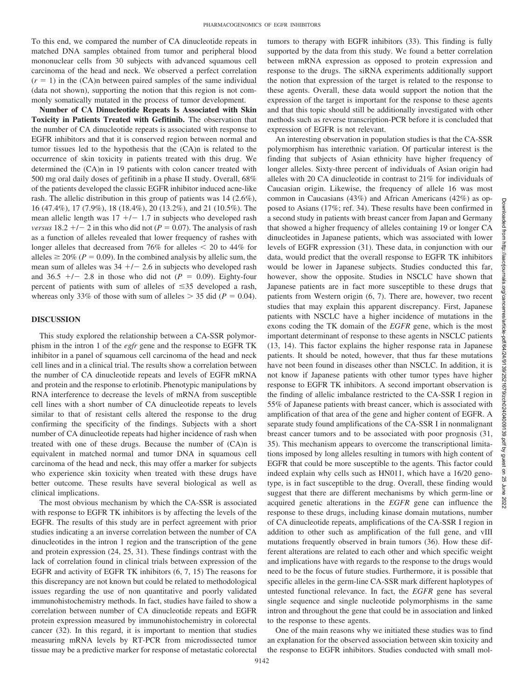To this end, we compared the number of CA dinucleotide repeats in matched DNA samples obtained from tumor and peripheral blood mononuclear cells from 30 subjects with advanced squamous cell carcinoma of the head and neck. We observed a perfect correlation  $(r = 1)$  in the  $(CA)$ n between paired samples of the same individual (data not shown), supporting the notion that this region is not commonly somatically mutated in the process of tumor development.

**Number of CA Dinucleotide Repeats Is Associated with Skin Toxicity in Patients Treated with Gefitinib.** The observation that the number of CA dinucleotide repeats is associated with response to EGFR inhibitors and that it is conserved region between normal and tumor tissues led to the hypothesis that the (CA)n is related to the occurrence of skin toxicity in patients treated with this drug. We determined the (CA)n in 19 patients with colon cancer treated with 500 mg oral daily doses of gefitinib in a phase II study. Overall, 68% of the patients developed the classic EGFR inhibitor induced acne-like rash. The allelic distribution in this group of patients was 14 (2.6%), 16 (47.4%), 17 (7.9%), 18 (18.4%), 20 (13.2%), and 21 (10.5%). The mean allelic length was  $17 +/- 1.7$  in subjects who developed rash *versus*  $18.2 + / - 2$  in this who did not ( $P = 0.07$ ). The analysis of rash as a function of alleles revealed that lower frequency of rashes with longer alleles that decreased from 76% for alleles  $\leq 20$  to 44% for alleles  $\geq 20\%$  ( $P = 0.09$ ). In the combined analysis by allelic sum, the mean sum of alleles was  $34 + / - 2.6$  in subjects who developed rash and  $36.5$  +/- 2.8 in those who did not ( $P = 0.09$ ). Eighty-four percent of patients with sum of alleles of  $\leq 35$  developed a rash, whereas only 33% of those with sum of alleles  $> 35$  did ( $P = 0.04$ ).

# **DISCUSSION**

This study explored the relationship between a CA-SSR polymorphism in the intron 1 of the *egfr* gene and the response to EGFR TK inhibitor in a panel of squamous cell carcinoma of the head and neck cell lines and in a clinical trial. The results show a correlation between the number of CA dinucleotide repeats and levels of EGFR mRNA and protein and the response to erlotinib. Phenotypic manipulations by RNA interference to decrease the levels of mRNA from susceptible cell lines with a short number of CA dinucleotide repeats to levels similar to that of resistant cells altered the response to the drug confirming the specificity of the findings. Subjects with a short number of CA dinucleotide repeats had higher incidence of rash when treated with one of these drugs. Because the number of (CA)n is equivalent in matched normal and tumor DNA in squamous cell carcinoma of the head and neck, this may offer a marker for subjects who experience skin toxicity when treated with these drugs have better outcome. These results have several biological as well as clinical implications.

The most obvious mechanism by which the CA-SSR is associated with response to EGFR TK inhibitors is by affecting the levels of the EGFR. The results of this study are in perfect agreement with prior studies indicating a an inverse correlation between the number of CA dinucleotides in the intron 1 region and the transcription of the gene and protein expression (24, 25, 31). These findings contrast with the lack of correlation found in clinical trials between expression of the EGFR and activity of EGFR TK inhibitors (6, 7, 15) The reasons for this discrepancy are not known but could be related to methodological issues regarding the use of non quantitative and poorly validated immunohistochemistry methods. In fact, studies have failed to show a correlation between number of CA dinucleotide repeats and EGFR protein expression measured by immunohistochemistry in colorectal cancer (32). In this regard, it is important to mention that studies measuring mRNA levels by RT-PCR from microdissected tumor tissue may be a predictive marker for response of metastatic colorectal tumors to therapy with EGFR inhibitors (33). This finding is fully supported by the data from this study. We found a better correlation between mRNA expression as opposed to protein expression and response to the drugs. The siRNA experiments additionally support the notion that expression of the target is related to the response to these agents. Overall, these data would support the notion that the expression of the target is important for the response to these agents and that this topic should still be additionally investigated with other methods such as reverse transcription-PCR before it is concluded that expression of EGFR is not relevant.

An interesting observation in population studies is that the CA-SSR polymorphism has interethnic variation. Of particular interest is the finding that subjects of Asian ethnicity have higher frequency of longer alleles. Sixty-three percent of individuals of Asian origin had alleles with 20 CA dinucleotide in contrast to 21% for individuals of Caucasian origin. Likewise, the frequency of allele 16 was most common in Caucasians (43%) and African Americans (42%) as opposed to Asians (17%; ref. 34). These results have been confirmed in a second study in patients with breast cancer from Japan and Germany that showed a higher frequency of alleles containing 19 or longer CA dinucleotides in Japanese patients, which was associated with lower levels of EGFR expression (31). These data, in conjunction with our data, would predict that the overall response to EGFR TK inhibitors would be lower in Japanese subjects. Studies conducted this far, however, show the opposite. Studies in NSCLC have shown that Japanese patients are in fact more susceptible to these drugs that patients from Western origin (6, 7). There are, however, two recent studies that may explain this apparent discrepancy. First, Japanese patients with NSCLC have a higher incidence of mutations in the exons coding the TK domain of the *EGFR* gene, which is the most important determinant of response to these agents in NSCLC patients (13, 14). This factor explains the higher response rata in Japanese patients. It should be noted, however, that thus far these mutations have not been found in diseases other than NSCLC. In addition, it is not know if Japanese patients with other tumor types have higher response to EGFR TK inhibitors. A second important observation is the finding of allelic imbalance restricted to the CA-SSR I region in 55% of Japanese patients with breast cancer, which is associated with amplification of that area of the gene and higher content of EGFR. A separate study found amplifications of the CA-SSR I in nonmalignant breast cancer tumors and to be associated with poor prognosis (31, 35). This mechanism appears to overcome the transcriptional limitations imposed by long alleles resulting in tumors with high content of EGFR that could be more susceptible to the agents. This factor could indeed explain why cells such as HN011, which have a 16/20 genotype, is in fact susceptible to the drug. Overall, these finding would suggest that there are different mechanisms by which germ-line or acquired genetic alterations in the *EGFR* gene can influence the response to these drugs, including kinase domain mutations, number of CA dinucleotide repeats, amplifications of the CA-SSR I region in addition to other such as amplification of the full gene, and vIII mutations frequently observed in brain tumors (36). How these different alterations are related to each other and which specific weight and implications have with regards to the response to the drugs would need to be the focus of future studies. Furthermore, it is possible that specific alleles in the germ-line CA-SSR mark different haplotypes of untested functional relevance. In fact, the *EGFR* gene has several single sequence and single nucleotide polymorphisms in the same intron and throughout the gene that could be in association and linked to the response to these agents.

One of the main reasons why we initiated these studies was to find an explanation for the observed association between skin toxicity and the response to EGFR inhibitors. Studies conducted with small mol-